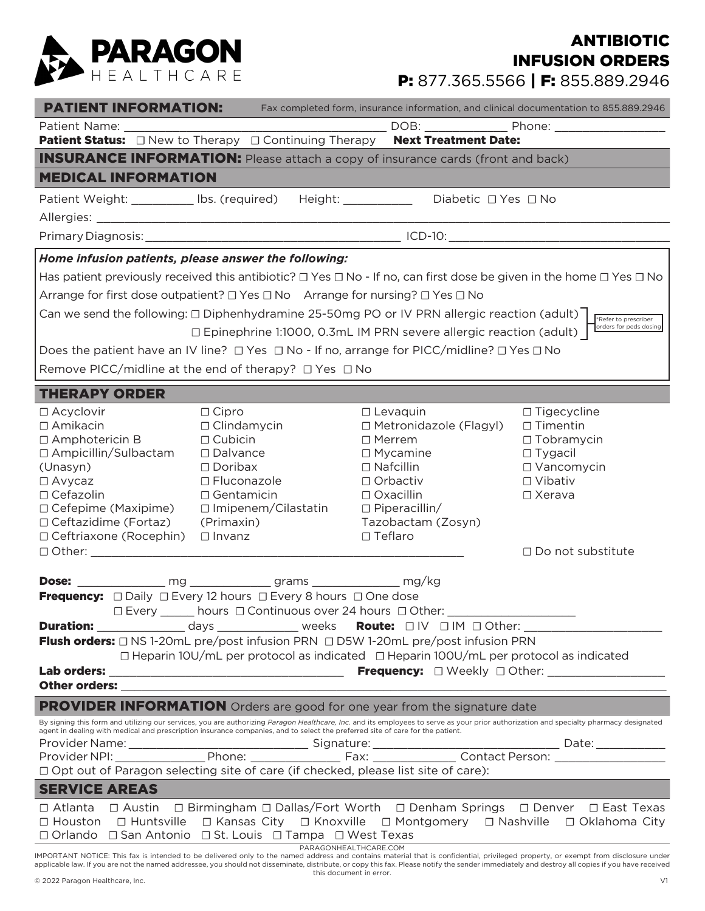

## P: 877.365.5566 | F: 855.889.2946 ANTIBIOTIC INFUSION ORDERS

| <b>PATIENT INFORMATION:</b>                                                                                                                                                                                                                                                                                             |                                                                                 | Fax completed form, insurance information, and clinical documentation to 855.889.2946 |                 |                          |
|-------------------------------------------------------------------------------------------------------------------------------------------------------------------------------------------------------------------------------------------------------------------------------------------------------------------------|---------------------------------------------------------------------------------|---------------------------------------------------------------------------------------|-----------------|--------------------------|
| Patient Name:                                                                                                                                                                                                                                                                                                           |                                                                                 |                                                                                       |                 |                          |
| Patient Status: $\Box$ New to Therapy $\Box$ Continuing Therapy Next Treatment Date:                                                                                                                                                                                                                                    |                                                                                 |                                                                                       |                 |                          |
| <b>INSURANCE INFORMATION:</b> Please attach a copy of insurance cards (front and back)                                                                                                                                                                                                                                  |                                                                                 |                                                                                       |                 |                          |
| <b>MEDICAL INFORMATION</b>                                                                                                                                                                                                                                                                                              |                                                                                 |                                                                                       |                 |                          |
| Patient Weight: __________ lbs. (required) Height: ____________ Diabetic □ Yes □ No                                                                                                                                                                                                                                     |                                                                                 |                                                                                       |                 |                          |
|                                                                                                                                                                                                                                                                                                                         |                                                                                 |                                                                                       |                 |                          |
|                                                                                                                                                                                                                                                                                                                         |                                                                                 |                                                                                       |                 |                          |
| Home infusion patients, please answer the following:                                                                                                                                                                                                                                                                    |                                                                                 |                                                                                       |                 |                          |
| Has patient previously received this antibiotic? $\Box$ Yes $\Box$ No - If no, can first dose be given in the home $\Box$ Yes $\Box$ No                                                                                                                                                                                 |                                                                                 |                                                                                       |                 |                          |
| Arrange for first dose outpatient? □ Yes □ No Arrange for nursing? □ Yes □ No                                                                                                                                                                                                                                           |                                                                                 |                                                                                       |                 |                          |
| Can we send the following: $\Box$ Diphenhydramine 25-50mg PO or IV PRN allergic reaction (adult) $\Box$<br>*Refer to prescriber                                                                                                                                                                                         |                                                                                 |                                                                                       |                 |                          |
| orders for peds dosing<br>□ Epinephrine 1:1000, 0.3mL IM PRN severe allergic reaction (adult)                                                                                                                                                                                                                           |                                                                                 |                                                                                       |                 |                          |
| Does the patient have an IV line? $\Box$ Yes $\Box$ No - If no, arrange for PICC/midline? $\Box$ Yes $\Box$ No                                                                                                                                                                                                          |                                                                                 |                                                                                       |                 |                          |
| Remove PICC/midline at the end of therapy? □ Yes □ No                                                                                                                                                                                                                                                                   |                                                                                 |                                                                                       |                 |                          |
| <b>THERAPY ORDER</b>                                                                                                                                                                                                                                                                                                    |                                                                                 |                                                                                       |                 |                          |
| $\Box$ Acyclovir<br>$\Box$ Cipro                                                                                                                                                                                                                                                                                        |                                                                                 | $\Box$ Levaquin                                                                       |                 | $\Box$ Tigecycline       |
| $\Box$ Amikacin                                                                                                                                                                                                                                                                                                         | $\Box$ Clindamycin                                                              | □ Metronidazole (Flagyl)                                                              | $\Box$ Timentin |                          |
| $\Box$ Amphotericin B<br>$\Box$ Cubicin                                                                                                                                                                                                                                                                                 |                                                                                 | $\Box$ Merrem                                                                         |                 | $\Box$ Tobramycin        |
| □ Ampicillin/Sulbactam<br>□ Dalvance                                                                                                                                                                                                                                                                                    |                                                                                 | $\Box$ Mycamine                                                                       | $\Box$ Tygacil  |                          |
| $\Box$ Doribax<br>(Unasyn)                                                                                                                                                                                                                                                                                              | □ Fluconazole                                                                   | $\Box$ Nafcillin<br>□ Orbactiv                                                        | □ Vibativ       | $\Box$ Vancomycin        |
| $\Box$ Avycaz<br>$\Box$ Cefazolin                                                                                                                                                                                                                                                                                       | $\Box$ Gentamicin                                                               | □ Oxacillin                                                                           | $\Box$ Xerava   |                          |
| $\Box$ Cefepime (Maxipime)                                                                                                                                                                                                                                                                                              | □ Imipenem/Cilastatin                                                           | $\Box$ Piperacillin/                                                                  |                 |                          |
| □ Ceftazidime (Fortaz)<br>(Primaxin)                                                                                                                                                                                                                                                                                    |                                                                                 | Tazobactam (Zosyn)                                                                    |                 |                          |
| □ Ceftriaxone (Rocephin) □ Invanz                                                                                                                                                                                                                                                                                       |                                                                                 | □ Teflaro                                                                             |                 |                          |
| $\Box$ Other: $\Box$                                                                                                                                                                                                                                                                                                    |                                                                                 |                                                                                       |                 | $\Box$ Do not substitute |
|                                                                                                                                                                                                                                                                                                                         |                                                                                 |                                                                                       |                 |                          |
| <b>Frequency:</b> $\Box$ Daily $\Box$ Every 12 hours $\Box$ Every 8 hours $\Box$ One dose                                                                                                                                                                                                                               |                                                                                 |                                                                                       |                 |                          |
|                                                                                                                                                                                                                                                                                                                         | □ Every ______ hours □ Continuous over 24 hours □ Other: ______________________ |                                                                                       |                 |                          |
| Duration: ________________ days _______________ weeks Route: □IV □IM □Other: ______________________                                                                                                                                                                                                                     |                                                                                 |                                                                                       |                 |                          |
| Flush orders: □ NS 1-20mL pre/post infusion PRN □ D5W 1-20mL pre/post infusion PRN                                                                                                                                                                                                                                      |                                                                                 |                                                                                       |                 |                          |
| □ Heparin 10U/mL per protocol as indicated □ Heparin 100U/mL per protocol as indicated                                                                                                                                                                                                                                  |                                                                                 |                                                                                       |                 |                          |
|                                                                                                                                                                                                                                                                                                                         |                                                                                 |                                                                                       |                 |                          |
| PROVIDER INFORMATION Orders are good for one year from the signature date                                                                                                                                                                                                                                               |                                                                                 |                                                                                       |                 |                          |
| By signing this form and utilizing our services, you are authorizing Paragon Healthcare, Inc. and its employees to serve as your prior authorization and specialty pharmacy designated<br>agent in dealing with medical and prescription insurance companies, and to select the preferred site of care for the patient. |                                                                                 |                                                                                       |                 |                          |
|                                                                                                                                                                                                                                                                                                                         |                                                                                 |                                                                                       |                 |                          |
|                                                                                                                                                                                                                                                                                                                         |                                                                                 |                                                                                       |                 |                          |
|                                                                                                                                                                                                                                                                                                                         |                                                                                 |                                                                                       |                 |                          |
| <b>SERVICE AREAS</b>                                                                                                                                                                                                                                                                                                    |                                                                                 |                                                                                       |                 |                          |
| □ Austin □ Birmingham □ Dallas/Fort Worth □ Denham Springs □ Denver □ East Texas<br>$\Box$ Atlanta                                                                                                                                                                                                                      |                                                                                 |                                                                                       |                 |                          |
| □ Houston □ Huntsville □ Kansas City □ Knoxville □ Montgomery □ Nashville □ Oklahoma City<br>□ Orlando □ San Antonio □ St. Louis □ Tampa □ West Texas                                                                                                                                                                   |                                                                                 |                                                                                       |                 |                          |
| PARAGONHEALTHCARE.COM<br>IMPORTANT NOTICE: This fax is intended to be delivered only to the named address and contains material that is confidential, privileged property, or exempt from disclosure under                                                                                                              |                                                                                 |                                                                                       |                 |                          |

applicable law. If you are not the named addressee, you should not disseminate, distribute, or copy this fax. Please notify the sender immediately and destroy all copies if you have received this document in error.